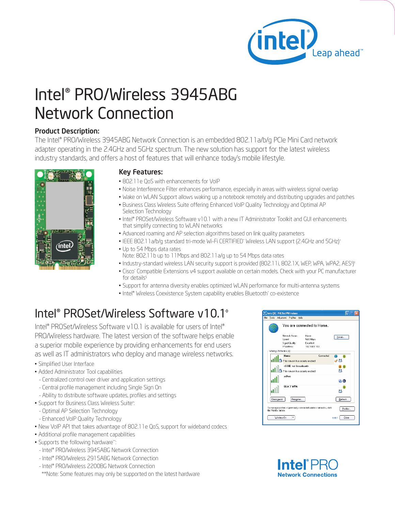

## Intel® PRO/Wireless 3945ABG Network Connection

## Product Description:

The Intel® PRO/Wireless 3945ABG Network Connection is an embedded 802.11a/b/g PCIe Mini Card network adapter operating in the 2.4GHz and 5GHz spectrum. The new solution has support for the latest wireless industry standards, and offers a host of features that will enhance today's mobile lifestyle.



## Key Features:

- 802.11e QoS with enhancements for VoIP
- Noise Interference Filter enhances performance, especially in areas with wireless signal overlap
- Wake on WLAN Support allows waking up a notebook remotely and distributing upgrades and patches
- Business Class Wireless Suite offering Enhanced VoIP Quality Technology and Optimal AP Selection Technology
- Intel® PROSet/Wireless Software v10.1 with a new IT Administrator Toolkit and GUI enhancements that simplify connecting to WLAN networks
- Advanced roaming and AP selection algorithms based on link quality parameters
- IEEE 802.11a/b/g standard tri-mode Wi-Fi CERTIFIED\* Wireless LAN support (2.4GHz and 5GHz)+
- Up to 54 Mbps data rates
- Note: 802.11b up to 11Mbps and 802.11a/g up to 54 Mbps data rates
- Industry-standard wireless LAN security support is provided (802.11i, 802.1X, WEP, WPA, WPA2, AES§)\*
- Cisco\* Compatible Extensions v4 support available on certain models. Check with your PC manufacturer for details<sup>§</sup>
- Support for antenna diversity enables optimized WLAN performance for multi-antenna systems
- Intel® Wireless Coexistence System capability enables Bluetooth\* co-existence

## Intel® PROSet/Wireless Software v10.1◊

Intel® PROSet/Wireless Software v10.1 is available for users of Intel® PRO/Wireless hardware. The latest version of the software helps enable a superior mobile experience by providing enhancements for end users as well as IT administrators who deploy and manage wireless networks.

- Simplified User Interface
- Added Administrator Tool capabilities
- Centralized control over driver and application settings
- Central profile management including Single Sign On
- Ability to distribute software updates, profiles and settings
- Support for Business Class Wireless Suite<sup>®</sup>:
- Optimal AP Selection Technology
- Enhanced VoIP Quality Technology
- New VoIP API that takes advantage of 802.11e QoS, support for wideband codecs

:

- Additional profile management capabilities
- Supports the following hardware\*\*:
- Intel® PRO/Wireless 3945ABG Network Connection
- Intel® PRO/Wireless 2915ABG Network Connection
- Intel® PRO/Wireless 2200BG Network Connection

\*\*Note: Some features may only be supported on the latest hardware

|                                                                                                         | Intel(R) PROSet/Wireless                                                |                            |                                                            |                                              |           |                |  |  |
|---------------------------------------------------------------------------------------------------------|-------------------------------------------------------------------------|----------------------------|------------------------------------------------------------|----------------------------------------------|-----------|----------------|--|--|
|                                                                                                         |                                                                         |                            | File Tools Advanced Profiles Help                          |                                              |           |                |  |  |
|                                                                                                         |                                                                         | You are connected to Home. |                                                            |                                              |           |                |  |  |
|                                                                                                         |                                                                         |                            | Network Name:<br>Speed:<br>Signal Quality:<br>IP Aritiess: | Home<br>54 D Mbps<br>Excellent<br>1921681103 |           | Details        |  |  |
| Wireless Networks [4]                                                                                   |                                                                         |                            |                                                            |                                              |           |                |  |  |
|                                                                                                         |                                                                         |                            | Home<br>This network has security enabled                  |                                              | Connected | a<br>м         |  |  |
|                                                                                                         | <ssid broadcast="" not=""><br/>This network has security enabled</ssid> |                            |                                                            |                                              |           |                |  |  |
|                                                                                                         |                                                                         |                            | adhoc                                                      |                                              |           | 80             |  |  |
|                                                                                                         |                                                                         |                            | <b>GLA 3 WPA</b>                                           |                                              |           |                |  |  |
|                                                                                                         |                                                                         | Disconnect                 | Properties                                                 |                                              |           | Refresh        |  |  |
| To manage profiles of previously connected wireless networks, click<br>Proliles<br>the Prolifes button. |                                                                         |                            |                                                            |                                              |           |                |  |  |
|                                                                                                         |                                                                         | Wieless fin                |                                                            |                                              |           | Close<br>Help? |  |  |